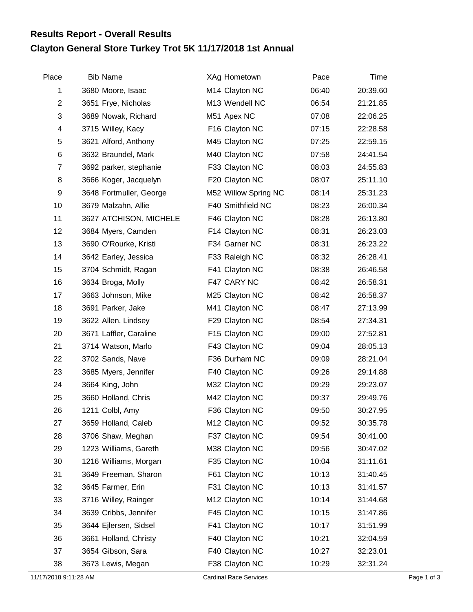## **Clayton General Store Turkey Trot 5K 11/17/2018 1st Annual Results Report - Overall Results**

| Place                 | Bib Name                | XAg Hometown                  | Pace  | Time     |             |
|-----------------------|-------------------------|-------------------------------|-------|----------|-------------|
| 1                     | 3680 Moore, Isaac       | M14 Clayton NC                | 06:40 | 20:39.60 |             |
| $\overline{2}$        | 3651 Frye, Nicholas     | M13 Wendell NC                | 06:54 | 21:21.85 |             |
| 3                     | 3689 Nowak, Richard     | M51 Apex NC                   | 07:08 | 22:06.25 |             |
| 4                     | 3715 Willey, Kacy       | F16 Clayton NC                | 07:15 | 22:28.58 |             |
| 5                     | 3621 Alford, Anthony    | M45 Clayton NC                | 07:25 | 22:59.15 |             |
| 6                     | 3632 Braundel, Mark     | M40 Clayton NC                | 07:58 | 24:41.54 |             |
| 7                     | 3692 parker, stephanie  | F33 Clayton NC                | 08:03 | 24:55.83 |             |
| 8                     | 3666 Koger, Jacquelyn   | F20 Clayton NC                | 08:07 | 25:11.10 |             |
| 9                     | 3648 Fortmuller, George | M52 Willow Spring NC          | 08:14 | 25:31.23 |             |
| 10                    | 3679 Malzahn, Allie     | F40 Smithfield NC             | 08:23 | 26:00.34 |             |
| 11                    | 3627 ATCHISON, MICHELE  | F46 Clayton NC                | 08:28 | 26:13.80 |             |
| 12                    | 3684 Myers, Camden      | F14 Clayton NC                | 08:31 | 26:23.03 |             |
| 13                    | 3690 O'Rourke, Kristi   | F34 Garner NC                 | 08:31 | 26:23.22 |             |
| 14                    | 3642 Earley, Jessica    | F33 Raleigh NC                | 08:32 | 26:28.41 |             |
| 15                    | 3704 Schmidt, Ragan     | F41 Clayton NC                | 08:38 | 26:46.58 |             |
| 16                    | 3634 Broga, Molly       | F47 CARY NC                   | 08:42 | 26:58.31 |             |
| 17                    | 3663 Johnson, Mike      | M25 Clayton NC                | 08:42 | 26:58.37 |             |
| 18                    | 3691 Parker, Jake       | M41 Clayton NC                | 08:47 | 27:13.99 |             |
| 19                    | 3622 Allen, Lindsey     | F29 Clayton NC                | 08:54 | 27:34.31 |             |
| 20                    | 3671 Laffler, Caraline  | F15 Clayton NC                | 09:00 | 27:52.81 |             |
| 21                    | 3714 Watson, Marlo      | F43 Clayton NC                | 09:04 | 28:05.13 |             |
| 22                    | 3702 Sands, Nave        | F36 Durham NC                 | 09:09 | 28:21.04 |             |
| 23                    | 3685 Myers, Jennifer    | F40 Clayton NC                | 09:26 | 29:14.88 |             |
| 24                    | 3664 King, John         | M32 Clayton NC                | 09:29 | 29:23.07 |             |
| 25                    | 3660 Holland, Chris     | M42 Clayton NC                | 09:37 | 29:49.76 |             |
| 26                    | 1211 Colbl, Amy         | F36 Clayton NC                | 09:50 | 30:27.95 |             |
| 27                    | 3659 Holland, Caleb     | M12 Clayton NC                | 09:52 | 30:35.78 |             |
| 28                    | 3706 Shaw, Meghan       | F37 Clayton NC                | 09:54 | 30:41.00 |             |
| 29                    | 1223 Williams, Gareth   | M38 Clayton NC                | 09:56 | 30:47.02 |             |
| 30                    | 1216 Williams, Morgan   | F35 Clayton NC                | 10:04 | 31:11.61 |             |
| 31                    | 3649 Freeman, Sharon    | F61 Clayton NC                | 10:13 | 31:40.45 |             |
| 32                    | 3645 Farmer, Erin       | F31 Clayton NC                | 10:13 | 31:41.57 |             |
| 33                    | 3716 Willey, Rainger    | M12 Clayton NC                | 10:14 | 31:44.68 |             |
| 34                    | 3639 Cribbs, Jennifer   | F45 Clayton NC                | 10:15 | 31:47.86 |             |
| 35                    | 3644 Ejlersen, Sidsel   | F41 Clayton NC                | 10:17 | 31:51.99 |             |
| 36                    | 3661 Holland, Christy   | F40 Clayton NC                | 10:21 | 32:04.59 |             |
| 37                    | 3654 Gibson, Sara       | F40 Clayton NC                | 10:27 | 32:23.01 |             |
| 38                    | 3673 Lewis, Megan       | F38 Clayton NC                | 10:29 | 32:31.24 |             |
| 11/17/2018 9:11:28 AM |                         | <b>Cardinal Race Services</b> |       |          | Page 1 of 3 |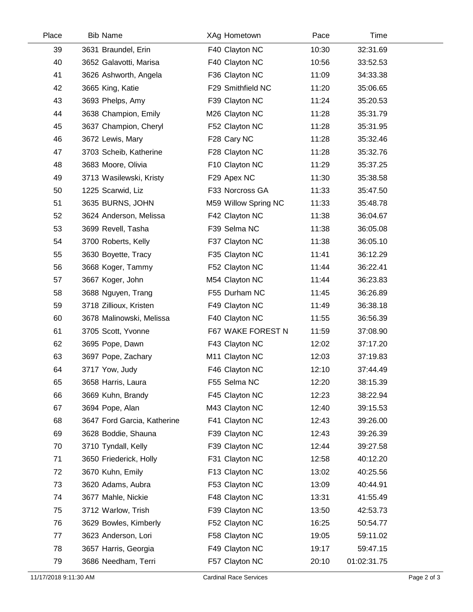| Place | <b>Bib Name</b>             | XAg Hometown         | Pace  | Time        |  |
|-------|-----------------------------|----------------------|-------|-------------|--|
| 39    | 3631 Braundel, Erin         | F40 Clayton NC       | 10:30 | 32:31.69    |  |
| 40    | 3652 Galavotti, Marisa      | F40 Clayton NC       | 10:56 | 33:52.53    |  |
| 41    | 3626 Ashworth, Angela       | F36 Clayton NC       | 11:09 | 34:33.38    |  |
| 42    | 3665 King, Katie            | F29 Smithfield NC    | 11:20 | 35:06.65    |  |
| 43    | 3693 Phelps, Amy            | F39 Clayton NC       | 11:24 | 35:20.53    |  |
| 44    | 3638 Champion, Emily        | M26 Clayton NC       | 11:28 | 35:31.79    |  |
| 45    | 3637 Champion, Cheryl       | F52 Clayton NC       | 11:28 | 35:31.95    |  |
| 46    | 3672 Lewis, Mary            | F28 Cary NC          | 11:28 | 35:32.46    |  |
| 47    | 3703 Scheib, Katherine      | F28 Clayton NC       | 11:28 | 35:32.76    |  |
| 48    | 3683 Moore, Olivia          | F10 Clayton NC       | 11:29 | 35:37.25    |  |
| 49    | 3713 Wasilewski, Kristy     | F29 Apex NC          | 11:30 | 35:38.58    |  |
| 50    | 1225 Scarwid, Liz           | F33 Norcross GA      | 11:33 | 35:47.50    |  |
| 51    | 3635 BURNS, JOHN            | M59 Willow Spring NC | 11:33 | 35:48.78    |  |
| 52    | 3624 Anderson, Melissa      | F42 Clayton NC       | 11:38 | 36:04.67    |  |
| 53    | 3699 Revell, Tasha          | F39 Selma NC         | 11:38 | 36:05.08    |  |
| 54    | 3700 Roberts, Kelly         | F37 Clayton NC       | 11:38 | 36:05.10    |  |
| 55    | 3630 Boyette, Tracy         | F35 Clayton NC       | 11:41 | 36:12.29    |  |
| 56    | 3668 Koger, Tammy           | F52 Clayton NC       | 11:44 | 36:22.41    |  |
| 57    | 3667 Koger, John            | M54 Clayton NC       | 11:44 | 36:23.83    |  |
| 58    | 3688 Nguyen, Trang          | F55 Durham NC        | 11:45 | 36:26.89    |  |
| 59    | 3718 Zillioux, Kristen      | F49 Clayton NC       | 11:49 | 36:38.18    |  |
| 60    | 3678 Malinowski, Melissa    | F40 Clayton NC       | 11:55 | 36:56.39    |  |
| 61    | 3705 Scott, Yvonne          | F67 WAKE FOREST N    | 11:59 | 37:08.90    |  |
| 62    | 3695 Pope, Dawn             | F43 Clayton NC       | 12:02 | 37:17.20    |  |
| 63    | 3697 Pope, Zachary          | M11 Clayton NC       | 12:03 | 37:19.83    |  |
| 64    | 3717 Yow, Judy              | F46 Clayton NC       | 12:10 | 37:44.49    |  |
| 65    | 3658 Harris, Laura          | F55 Selma NC         | 12:20 | 38:15.39    |  |
| 66    | 3669 Kuhn, Brandy           | F45 Clayton NC       | 12:23 | 38:22.94    |  |
| 67    | 3694 Pope, Alan             | M43 Clayton NC       | 12:40 | 39:15.53    |  |
| 68    | 3647 Ford Garcia, Katherine | F41 Clayton NC       | 12:43 | 39:26.00    |  |
| 69    | 3628 Boddie, Shauna         | F39 Clayton NC       | 12:43 | 39:26.39    |  |
| 70    | 3710 Tyndall, Kelly         | F39 Clayton NC       | 12:44 | 39:27.58    |  |
| 71    | 3650 Friederick, Holly      | F31 Clayton NC       | 12:58 | 40:12.20    |  |
| 72    | 3670 Kuhn, Emily            | F13 Clayton NC       | 13:02 | 40:25.56    |  |
| 73    | 3620 Adams, Aubra           | F53 Clayton NC       | 13:09 | 40:44.91    |  |
| 74    | 3677 Mahle, Nickie          | F48 Clayton NC       | 13:31 | 41:55.49    |  |
| 75    | 3712 Warlow, Trish          | F39 Clayton NC       | 13:50 | 42:53.73    |  |
| 76    | 3629 Bowles, Kimberly       | F52 Clayton NC       | 16:25 | 50:54.77    |  |
| 77    | 3623 Anderson, Lori         | F58 Clayton NC       | 19:05 | 59:11.02    |  |
| 78    | 3657 Harris, Georgia        | F49 Clayton NC       | 19:17 | 59:47.15    |  |
| 79    | 3686 Needham, Terri         | F57 Clayton NC       | 20:10 | 01:02:31.75 |  |